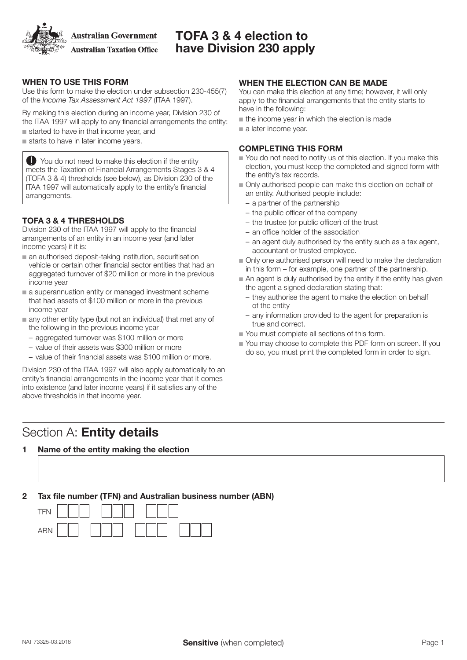**Australian Government** 

**Australian Taxation Office** 

## TOFA 3 & 4 election to have Division 230 apply

## WHEN TO USE THIS FORM

Use this form to make the election under subsection 230‑455(7) of the *Income Tax Assessment Act 1997* (ITAA 1997).

By making this election during an income year, Division 230 of the ITAA 1997 will apply to any financial arrangements the entity:

 $\blacksquare$  started to have in that income year, and

 $\blacksquare$  starts to have in later income years.

**O** You do not need to make this election if the entity meets the Taxation of Financial Arrangements Stages 3 & 4 (TOFA 3 & 4) thresholds (see below), as Division 230 of the ITAA 1997 will automatically apply to the entity's financial arrangements.

## TOFA 3 & 4 THRESHOLDS

Division 230 of the ITAA 1997 will apply to the financial arrangements of an entity in an income year (and later income years) if it is:

- $\blacksquare$  an authorised deposit-taking institution, securitisation vehicle or certain other financial sector entities that had an aggregated turnover of \$20 million or more in the previous income year
- $\blacksquare$  a superannuation entity or managed investment scheme that had assets of \$100 million or more in the previous income year
- $\blacksquare$  any other entity type (but not an individual) that met any of the following in the previous income year
	- aggregated turnover was \$100 million or more
	- value of their assets was \$300 million or more
	- value of their financial assets was \$100 million or more.

Division 230 of the ITAA 1997 will also apply automatically to an entity's financial arrangements in the income year that it comes into existence (and later income years) if it satisfies any of the above thresholds in that income year.

## Section A: Entity details

### 1 Name of the entity making the election

### 2 Tax file number (TFN) and Australian business number (ABN)



## WHEN THE ELECTION CAN BE MADE

You can make this election at any time; however, it will only apply to the financial arrangements that the entity starts to have in the following:

- $\blacksquare$  the income year in which the election is made
- n a later income year.

#### COMPLETING THIS FORM

- $\blacksquare$  You do not need to notify us of this election. If you make this election, you must keep the completed and signed form with the entity's tax records.
- $\blacksquare$  Only authorised people can make this election on behalf of an entity. Authorised people include:
	- a partner of the partnership
	- the public officer of the company
	- the trustee (or public officer) of the trust
	- an office holder of the association
	- an agent duly authorised by the entity such as a tax agent, accountant or trusted employee.
- n Only one authorised person will need to make the declaration in this form – for example, one partner of the partnership.
- $\blacksquare$  An agent is duly authorised by the entity if the entity has given the agent a signed declaration stating that:
	- they authorise the agent to make the election on behalf of the entity
	- any information provided to the agent for preparation is true and correct.
- $\blacksquare$  You must complete all sections of this form.
- You may choose to complete this PDF form on screen. If you do so, you must print the completed form in order to sign.